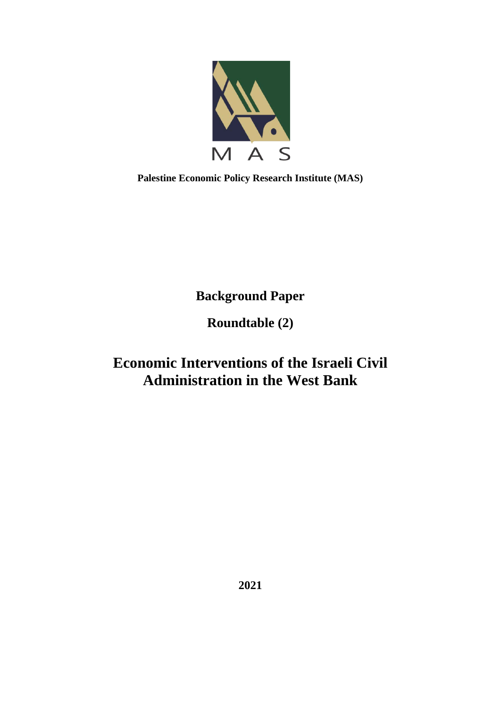

**Palestine Economic Policy Research Institute (MAS)**

**Background Paper**

**Roundtable (2)**

# **Economic Interventions of the Israeli Civil Administration in the West Bank**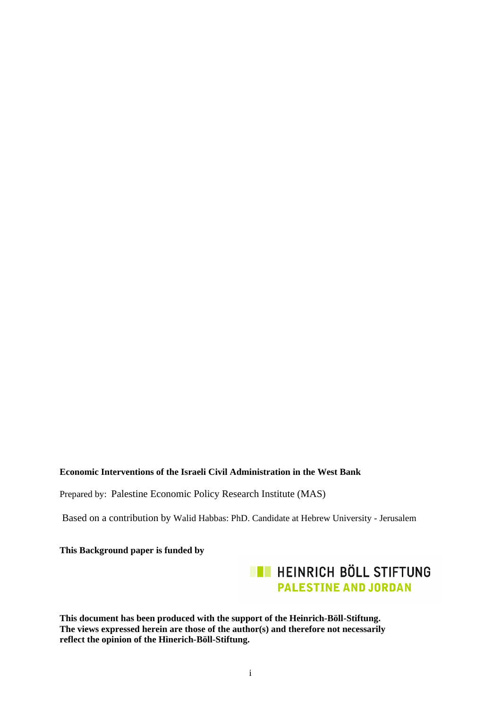# **Economic Interventions of the Israeli Civil Administration in the West Bank**

Prepared by: Palestine Economic Policy Research Institute (MAS)

Based on a contribution by Walid Habbas: PhD. Candidate at Hebrew University - Jerusalem

**This Background paper is funded by** 



**This document has been produced with the support of the Heinrich-Böll-Stiftung. The views expressed herein are those of the author(s) and therefore not necessarily reflect the opinion of the Hinerich-Böll-Stiftung.**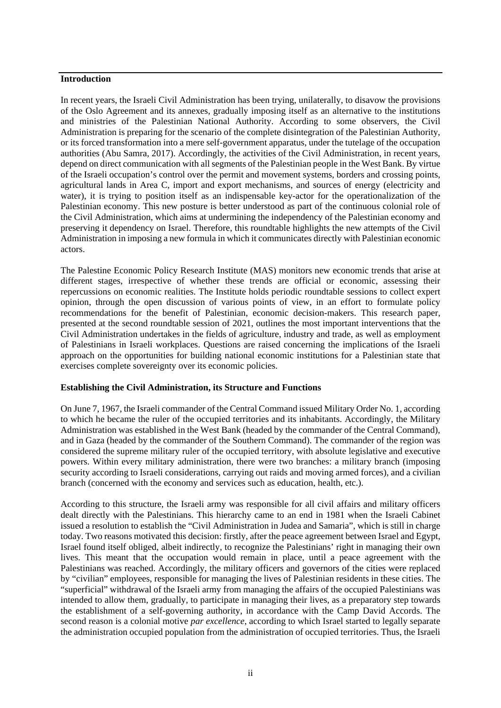#### **Introduction**

In recent years, the Israeli Civil Administration has been trying, unilaterally, to disavow the provisions of the Oslo Agreement and its annexes, gradually imposing itself as an alternative to the institutions and ministries of the Palestinian National Authority. According to some observers, the Civil Administration is preparing for the scenario of the complete disintegration of the Palestinian Authority, or its forced transformation into a mere self-government apparatus, under the tutelage of the occupation authorities (Abu Samra, 2017). Accordingly, the activities of the Civil Administration, in recent years, depend on direct communication with all segments of the Palestinian people in the West Bank. By virtue of the Israeli occupation's control over the permit and movement systems, borders and crossing points, agricultural lands in Area C, import and export mechanisms, and sources of energy (electricity and water), it is trying to position itself as an indispensable key-actor for the operationalization of the Palestinian economy. This new posture is better understood as part of the continuous colonial role of the Civil Administration, which aims at undermining the independency of the Palestinian economy and preserving it dependency on Israel. Therefore, this roundtable highlights the new attempts of the Civil Administration in imposing a new formula in which it communicates directly with Palestinian economic actors.

The Palestine Economic Policy Research Institute (MAS) monitors new economic trends that arise at different stages, irrespective of whether these trends are official or economic, assessing their repercussions on economic realities. The Institute holds periodic roundtable sessions to collect expert opinion, through the open discussion of various points of view, in an effort to formulate policy recommendations for the benefit of Palestinian, economic decision-makers. This research paper, presented at the second roundtable session of 2021, outlines the most important interventions that the Civil Administration undertakes in the fields of agriculture, industry and trade, as well as employment of Palestinians in Israeli workplaces. Questions are raised concerning the implications of the Israeli approach on the opportunities for building national economic institutions for a Palestinian state that exercises complete sovereignty over its economic policies.

#### **Establishing the Civil Administration, its Structure and Functions**

On June 7, 1967, the Israeli commander of the Central Command issued Military Order No. 1, according to which he became the ruler of the occupied territories and its inhabitants. Accordingly, the Military Administration was established in the West Bank (headed by the commander of the Central Command), and in Gaza (headed by the commander of the Southern Command). The commander of the region was considered the supreme military ruler of the occupied territory, with absolute legislative and executive powers. Within every military administration, there were two branches: a military branch (imposing security according to Israeli considerations, carrying out raids and moving armed forces), and a civilian branch (concerned with the economy and services such as education, health, etc.).

According to this structure, the Israeli army was responsible for all civil affairs and military officers dealt directly with the Palestinians. This hierarchy came to an end in 1981 when the Israeli Cabinet issued a resolution to establish the "Civil Administration in Judea and Samaria", which is still in charge today. Two reasons motivated this decision: firstly, after the peace agreement between Israel and Egypt, Israel found itself obliged, albeit indirectly, to recognize the Palestinians' right in managing their own lives. This meant that the occupation would remain in place, until a peace agreement with the Palestinians was reached. Accordingly, the military officers and governors of the cities were replaced by "civilian" employees, responsible for managing the lives of Palestinian residents in these cities. The "superficial" withdrawal of the Israeli army from managing the affairs of the occupied Palestinians was intended to allow them, gradually, to participate in managing their lives, as a preparatory step towards the establishment of a self-governing authority, in accordance with the Camp David Accords. The second reason is a colonial motive *par excellence*, according to which Israel started to legally separate the administration occupied population from the administration of occupied territories. Thus, the Israeli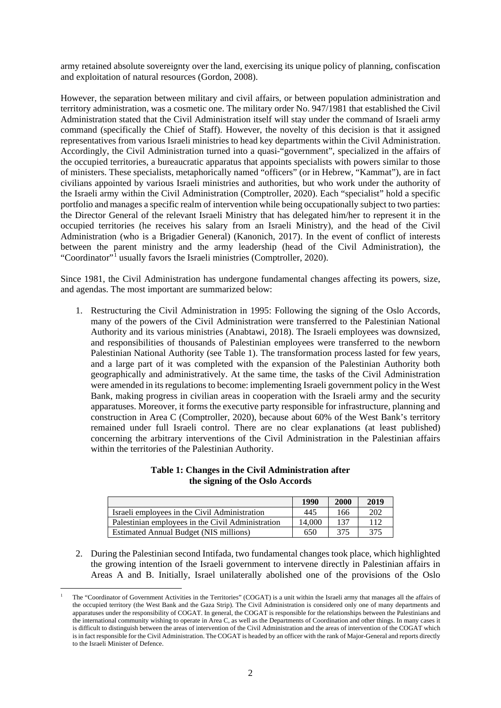army retained absolute sovereignty over the land, exercising its unique policy of planning, confiscation and exploitation of natural resources (Gordon, 2008).

However, the separation between military and civil affairs, or between population administration and territory administration, was a cosmetic one. The military order No. 947/1981 that established the Civil Administration stated that the Civil Administration itself will stay under the command of Israeli army command (specifically the Chief of Staff). However, the novelty of this decision is that it assigned representatives from various Israeli ministries to head key departments within the Civil Administration. Accordingly, the Civil Administration turned into a quasi-"government", specialized in the affairs of the occupied territories, a bureaucratic apparatus that appoints specialists with powers similar to those of ministers. These specialists, metaphorically named "officers" (or in Hebrew, "Kammat"), are in fact civilians appointed by various Israeli ministries and authorities, but who work under the authority of the Israeli army within the Civil Administration (Comptroller, 2020). Each "specialist" hold a specific portfolio and manages a specific realm of intervention while being occupationally subject to two parties: the Director General of the relevant Israeli Ministry that has delegated him/her to represent it in the occupied territories (he receives his salary from an Israeli Ministry), and the head of the Civil Administration (who is a Brigadier General) (Kanonich, 2017). In the event of conflict of interests between the parent ministry and the army leadership (head of the Civil Administration), the "Coordinator"[1](#page-3-0) usually favors the Israeli ministries (Comptroller, 2020).

Since 1981, the Civil Administration has undergone fundamental changes affecting its powers, size, and agendas. The most important are summarized below:

1. Restructuring the Civil Administration in 1995: Following the signing of the Oslo Accords, many of the powers of the Civil Administration were transferred to the Palestinian National Authority and its various ministries (Anabtawi, 2018). The Israeli employees was downsized, and responsibilities of thousands of Palestinian employees were transferred to the newborn Palestinian National Authority (see Table 1). The transformation process lasted for few years, and a large part of it was completed with the expansion of the Palestinian Authority both geographically and administratively. At the same time, the tasks of the Civil Administration were amended in its regulations to become: implementing Israeli government policy in the West Bank, making progress in civilian areas in cooperation with the Israeli army and the security apparatuses. Moreover, it forms the executive party responsible for infrastructure, planning and construction in Area C (Comptroller, 2020), because about 60% of the West Bank's territory remained under full Israeli control. There are no clear explanations (at least published) concerning the arbitrary interventions of the Civil Administration in the Palestinian affairs within the territories of the Palestinian Authority.

#### **Table 1: Changes in the Civil Administration after the signing of the Oslo Accords**

|                                                   | 1990   | 2000 | 2019 |
|---------------------------------------------------|--------|------|------|
| Israeli employees in the Civil Administration     | 445    | 166  | 202  |
| Palestinian employees in the Civil Administration | 14.000 | 137  | 112  |
| Estimated Annual Budget (NIS millions)            | 650    | 375  | 375  |

2. During the Palestinian second Intifada, two fundamental changes took place, which highlighted the growing intention of the Israeli government to intervene directly in Palestinian affairs in Areas A and B. Initially, Israel unilaterally abolished one of the provisions of the Oslo

<span id="page-3-0"></span><sup>1</sup> The "Coordinator of Government Activities in the Territories" (COGAT) is a unit within the Israeli army that manages all the affairs of the occupied territory (the West Bank and the Gaza Strip). The Civil Administration is considered only one of many departments and apparatuses under the responsibility of COGAT. In general, the COGAT is responsible for the relationships between the Palestinians and the international community wishing to operate in Area C, as well as the Departments of Coordination and other things. In many cases it is difficult to distinguish between the areas of intervention of the Civil Administration and the areas of intervention of the COGAT which is in fact responsible for the Civil Administration. The COGAT is headed by an officer with the rank of Major-General and reports directly to the Israeli Minister of Defence.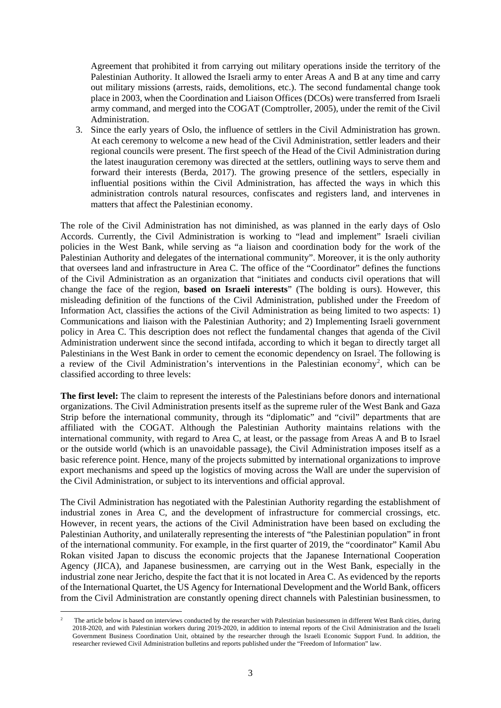Agreement that prohibited it from carrying out military operations inside the territory of the Palestinian Authority. It allowed the Israeli army to enter Areas A and B at any time and carry out military missions (arrests, raids, demolitions, etc.). The second fundamental change took place in 2003, when the Coordination and Liaison Offices (DCOs) were transferred from Israeli army command, and merged into the COGAT (Comptroller, 2005), under the remit of the Civil Administration.

3. Since the early years of Oslo, the influence of settlers in the Civil Administration has grown. At each ceremony to welcome a new head of the Civil Administration, settler leaders and their regional councils were present. The first speech of the Head of the Civil Administration during the latest inauguration ceremony was directed at the settlers, outlining ways to serve them and forward their interests (Berda, 2017). The growing presence of the settlers, especially in influential positions within the Civil Administration, has affected the ways in which this administration controls natural resources, confiscates and registers land, and intervenes in matters that affect the Palestinian economy.

The role of the Civil Administration has not diminished, as was planned in the early days of Oslo Accords. Currently, the Civil Administration is working to "lead and implement" Israeli civilian policies in the West Bank, while serving as "a liaison and coordination body for the work of the Palestinian Authority and delegates of the international community". Moreover, it is the only authority that oversees land and infrastructure in Area C. The office of the "Coordinator" defines the functions of the Civil Administration as an organization that "initiates and conducts civil operations that will change the face of the region, **based on Israeli interests**" (The bolding is ours). However, this misleading definition of the functions of the Civil Administration, published under the Freedom of Information Act, classifies the actions of the Civil Administration as being limited to two aspects: 1) Communications and liaison with the Palestinian Authority; and 2) Implementing Israeli government policy in Area C. This description does not reflect the fundamental changes that agenda of the Civil Administration underwent since the second intifada, according to which it began to directly target all Palestinians in the West Bank in order to cement the economic dependency on Israel. The following is a review of the Civil Administration's interventions in the Palestinian economy<sup>[2](#page-4-0)</sup>, which can be classified according to three levels:

**The first level:** The claim to represent the interests of the Palestinians before donors and international organizations. The Civil Administration presents itself as the supreme ruler of the West Bank and Gaza Strip before the international community, through its "diplomatic" and "civil" departments that are affiliated with the COGAT. Although the Palestinian Authority maintains relations with the international community, with regard to Area C, at least, or the passage from Areas A and B to Israel or the outside world (which is an unavoidable passage), the Civil Administration imposes itself as a basic reference point. Hence, many of the projects submitted by international organizations to improve export mechanisms and speed up the logistics of moving across the Wall are under the supervision of the Civil Administration, or subject to its interventions and official approval.

The Civil Administration has negotiated with the Palestinian Authority regarding the establishment of industrial zones in Area C, and the development of infrastructure for commercial crossings, etc. However, in recent years, the actions of the Civil Administration have been based on excluding the Palestinian Authority, and unilaterally representing the interests of "the Palestinian population" in front of the international community. For example, in the first quarter of 2019, the "coordinator" Kamil Abu Rokan visited Japan to discuss the economic projects that the Japanese International Cooperation Agency (JICA), and Japanese businessmen, are carrying out in the West Bank, especially in the industrial zone near Jericho, despite the fact that it is not located in Area C. As evidenced by the reports of the International Quartet, the US Agency for International Development and the World Bank, officers from the Civil Administration are constantly opening direct channels with Palestinian businessmen, to

<span id="page-4-0"></span><sup>2</sup> The article below is based on interviews conducted by the researcher with Palestinian businessmen in different West Bank cities, during 2018-2020, and with Palestinian workers during 2019-2020, in addition to internal reports of the Civil Administration and the Israeli Government Business Coordination Unit, obtained by the researcher through the Israeli Economic Support Fund. In addition, the researcher reviewed Civil Administration bulletins and reports published under the "Freedom of Information" law .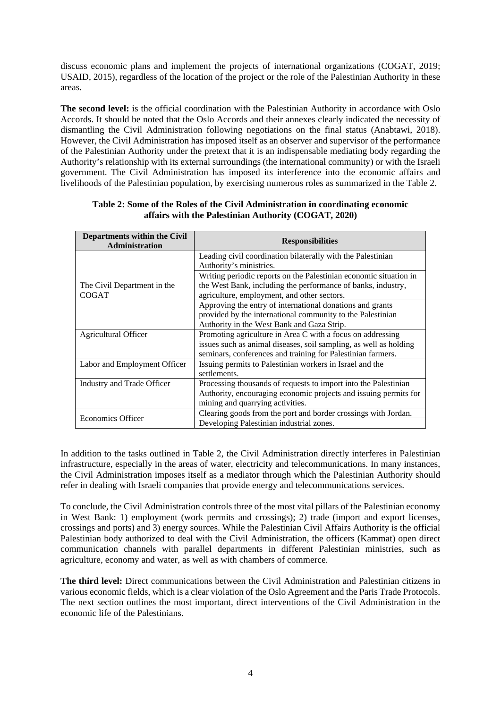discuss economic plans and implement the projects of international organizations (COGAT, 2019; USAID, 2015), regardless of the location of the project or the role of the Palestinian Authority in these areas.

**The second level:** is the official coordination with the Palestinian Authority in accordance with Oslo Accords. It should be noted that the Oslo Accords and their annexes clearly indicated the necessity of dismantling the Civil Administration following negotiations on the final status (Anabtawi, 2018). However, the Civil Administration has imposed itself as an observer and supervisor of the performance of the Palestinian Authority under the pretext that it is an indispensable mediating body regarding the Authority's relationship with its external surroundings (the international community) or with the Israeli government. The Civil Administration has imposed its interference into the economic affairs and livelihoods of the Palestinian population, by exercising numerous roles as summarized in the Table 2.

| <b>Departments within the Civil</b><br>Administration | <b>Responsibilities</b>                                                                                                                                                                        |
|-------------------------------------------------------|------------------------------------------------------------------------------------------------------------------------------------------------------------------------------------------------|
|                                                       | Leading civil coordination bilaterally with the Palestinian<br>Authority's ministries.                                                                                                         |
| The Civil Department in the<br>COGAT                  | Writing periodic reports on the Palestinian economic situation in<br>the West Bank, including the performance of banks, industry,<br>agriculture, employment, and other sectors.               |
|                                                       | Approving the entry of international donations and grants<br>provided by the international community to the Palestinian<br>Authority in the West Bank and Gaza Strip.                          |
| Agricultural Officer                                  | Promoting agriculture in Area C with a focus on addressing<br>issues such as animal diseases, soil sampling, as well as holding<br>seminars, conferences and training for Palestinian farmers. |
| Labor and Employment Officer                          | Issuing permits to Palestinian workers in Israel and the<br>settlements.                                                                                                                       |
| Industry and Trade Officer                            | Processing thousands of requests to import into the Palestinian<br>Authority, encouraging economic projects and issuing permits for<br>mining and quarrying activities.                        |
| <b>Economics Officer</b>                              | Clearing goods from the port and border crossings with Jordan.<br>Developing Palestinian industrial zones.                                                                                     |

## **Table 2: Some of the Roles of the Civil Administration in coordinating economic affairs with the Palestinian Authority (COGAT, 2020)**

In addition to the tasks outlined in Table 2, the Civil Administration directly interferes in Palestinian infrastructure, especially in the areas of water, electricity and telecommunications. In many instances, the Civil Administration imposes itself as a mediator through which the Palestinian Authority should refer in dealing with Israeli companies that provide energy and telecommunications services.

To conclude, the Civil Administration controls three of the most vital pillars of the Palestinian economy in West Bank: 1) employment (work permits and crossings); 2) trade (import and export licenses, crossings and ports) and 3) energy sources. While the Palestinian Civil Affairs Authority is the official Palestinian body authorized to deal with the Civil Administration, the officers (Kammat) open direct communication channels with parallel departments in different Palestinian ministries, such as agriculture, economy and water, as well as with chambers of commerce.

**The third level:** Direct communications between the Civil Administration and Palestinian citizens in various economic fields, which is a clear violation of the Oslo Agreement and the Paris Trade Protocols. The next section outlines the most important, direct interventions of the Civil Administration in the economic life of the Palestinians.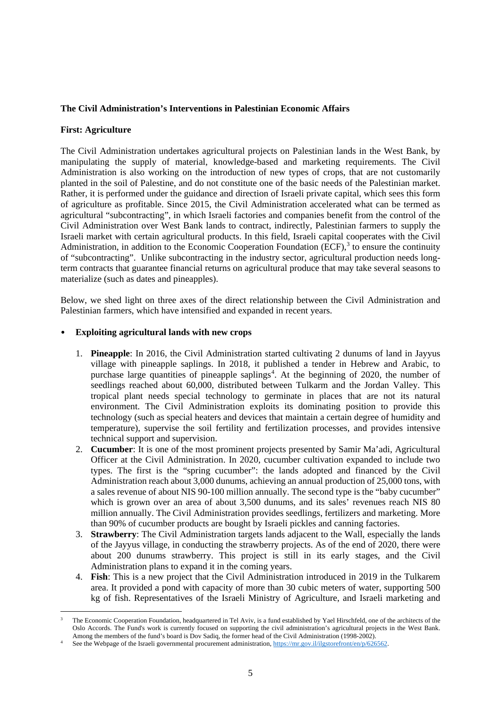## **The Civil Administration's Interventions in Palestinian Economic Affairs**

## **First: Agriculture**

The Civil Administration undertakes agricultural projects on Palestinian lands in the West Bank, by manipulating the supply of material, knowledge-based and marketing requirements. The Civil Administration is also working on the introduction of new types of crops, that are not customarily planted in the soil of Palestine, and do not constitute one of the basic needs of the Palestinian market. Rather, it is performed under the guidance and direction of Israeli private capital, which sees this form of agriculture as profitable. Since 2015, the Civil Administration accelerated what can be termed as agricultural "subcontracting", in which Israeli factories and companies benefit from the control of the Civil Administration over West Bank lands to contract, indirectly, Palestinian farmers to supply the Israeli market with certain agricultural products. In this field, Israeli capital cooperates with the Civil Administration, in addition to the Economic Cooperation Foundation (ECF),  $3$  to ensure the continuity of "subcontracting". Unlike subcontracting in the industry sector, agricultural production needs longterm contracts that guarantee financial returns on agricultural produce that may take several seasons to materialize (such as dates and pineapples).

Below, we shed light on three axes of the direct relationship between the Civil Administration and Palestinian farmers, which have intensified and expanded in recent years.

#### • **Exploiting agricultural lands with new crops**

- 1. **Pineapple**: In 2016, the Civil Administration started cultivating 2 dunums of land in Jayyus village with pineapple saplings. In 2018, it published a tender in Hebrew and Arabic, to purchase large quantities of pineapple saplings<sup>[4](#page-6-1)</sup>. At the beginning of 2020, the number of seedlings reached about 60,000, distributed between Tulkarm and the Jordan Valley. This tropical plant needs special technology to germinate in places that are not its natural environment. The Civil Administration exploits its dominating position to provide this technology (such as special heaters and devices that maintain a certain degree of humidity and temperature), supervise the soil fertility and fertilization processes, and provides intensive technical support and supervision.
- 2. **Cucumber**: It is one of the most prominent projects presented by Samir Ma'adi, Agricultural Officer at the Civil Administration. In 2020, cucumber cultivation expanded to include two types. The first is the "spring cucumber": the lands adopted and financed by the Civil Administration reach about 3,000 dunums, achieving an annual production of 25,000 tons, with a sales revenue of about NIS 90-100 million annually. The second type is the "baby cucumber" which is grown over an area of about 3,500 dunums, and its sales' revenues reach NIS 80 million annually. The Civil Administration provides seedlings, fertilizers and marketing. More than 90% of cucumber products are bought by Israeli pickles and canning factories.
- 3. **Strawberry**: The Civil Administration targets lands adjacent to the Wall, especially the lands of the Jayyus village, in conducting the strawberry projects. As of the end of 2020, there were about 200 dunums strawberry. This project is still in its early stages, and the Civil Administration plans to expand it in the coming years.
- 4. **Fish**: This is a new project that the Civil Administration introduced in 2019 in the Tulkarem area. It provided a pond with capacity of more than 30 cubic meters of water, supporting 500 kg of fish. Representatives of the Israeli Ministry of Agriculture, and Israeli marketing and

<span id="page-6-0"></span>The Economic Cooperation Foundation, headquartered in Tel Aviv, is a fund established by Yael Hirschfeld, one of the architects of the Oslo Accords. The Fund's work is currently focused on supporting the civil administration's agricultural projects in the West Bank. Among the members of the fund's board is Dov Sadiq, the former head of the Civil Administration (1998-2002).

<span id="page-6-1"></span>See the Webpage of the Israeli governmental procurement administration, https://mr.gov.il/ilgstorefront/en/p/626562.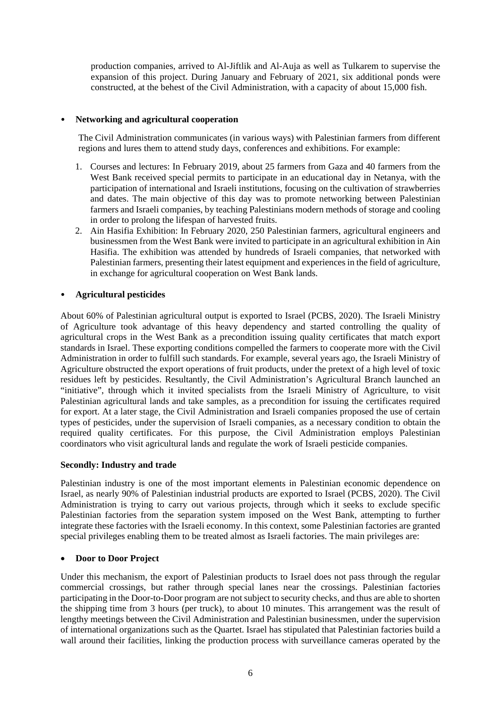production companies, arrived to Al-Jiftlik and Al-Auja as well as Tulkarem to supervise the expansion of this project. During January and February of 2021, six additional ponds were constructed, at the behest of the Civil Administration, with a capacity of about 15,000 fish.

## • **Networking and agricultural cooperation**

The Civil Administration communicates (in various ways) with Palestinian farmers from different regions and lures them to attend study days, conferences and exhibitions. For example:

- 1. Courses and lectures: In February 2019, about 25 farmers from Gaza and 40 farmers from the West Bank received special permits to participate in an educational day in Netanya, with the participation of international and Israeli institutions, focusing on the cultivation of strawberries and dates. The main objective of this day was to promote networking between Palestinian farmers and Israeli companies, by teaching Palestinians modern methods of storage and cooling in order to prolong the lifespan of harvested fruits.
- 2. Ain Hasifia Exhibition: In February 2020, 250 Palestinian farmers, agricultural engineers and businessmen from the West Bank were invited to participate in an agricultural exhibition in Ain Hasifia. The exhibition was attended by hundreds of Israeli companies, that networked with Palestinian farmers, presenting their latest equipment and experiences in the field of agriculture, in exchange for agricultural cooperation on West Bank lands.

## • **Agricultural pesticides**

About 60% of Palestinian agricultural output is exported to Israel (PCBS, 2020). The Israeli Ministry of Agriculture took advantage of this heavy dependency and started controlling the quality of agricultural crops in the West Bank as a precondition issuing quality certificates that match export standards in Israel. These exporting conditions compelled the farmers to cooperate more with the Civil Administration in order to fulfill such standards. For example, several years ago, the Israeli Ministry of Agriculture obstructed the export operations of fruit products, under the pretext of a high level of toxic residues left by pesticides. Resultantly, the Civil Administration's Agricultural Branch launched an "initiative", through which it invited specialists from the Israeli Ministry of Agriculture, to visit Palestinian agricultural lands and take samples, as a precondition for issuing the certificates required for export. At a later stage, the Civil Administration and Israeli companies proposed the use of certain types of pesticides, under the supervision of Israeli companies, as a necessary condition to obtain the required quality certificates. For this purpose, the Civil Administration employs Palestinian coordinators who visit agricultural lands and regulate the work of Israeli pesticide companies.

#### **Secondly: Industry and trade**

Palestinian industry is one of the most important elements in Palestinian economic dependence on Israel, as nearly 90% of Palestinian industrial products are exported to Israel (PCBS, 2020). The Civil Administration is trying to carry out various projects, through which it seeks to exclude specific Palestinian factories from the separation system imposed on the West Bank, attempting to further integrate these factories with the Israeli economy. In this context, some Palestinian factories are granted special privileges enabling them to be treated almost as Israeli factories. The main privileges are:

#### • **Door to Door Project**

Under this mechanism, the export of Palestinian products to Israel does not pass through the regular commercial crossings, but rather through special lanes near the crossings. Palestinian factories participating in the Door-to-Door program are not subject to security checks, and thus are able to shorten the shipping time from 3 hours (per truck), to about 10 minutes. This arrangement was the result of lengthy meetings between the Civil Administration and Palestinian businessmen, under the supervision of international organizations such as the Quartet. Israel has stipulated that Palestinian factories build a wall around their facilities, linking the production process with surveillance cameras operated by the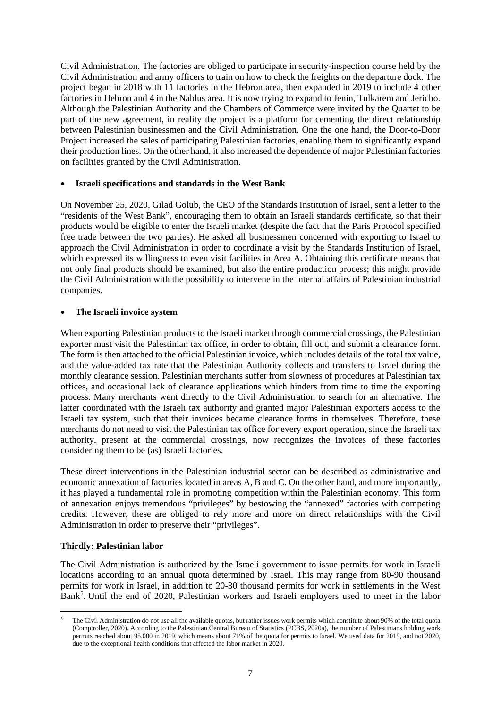Civil Administration. The factories are obliged to participate in security-inspection course held by the Civil Administration and army officers to train on how to check the freights on the departure dock. The project began in 2018 with 11 factories in the Hebron area, then expanded in 2019 to include 4 other factories in Hebron and 4 in the Nablus area. It is now trying to expand to Jenin, Tulkarem and Jericho. Although the Palestinian Authority and the Chambers of Commerce were invited by the Quartet to be part of the new agreement, in reality the project is a platform for cementing the direct relationship between Palestinian businessmen and the Civil Administration. One the one hand, the Door-to-Door Project increased the sales of participating Palestinian factories, enabling them to significantly expand their production lines. On the other hand, it also increased the dependence of major Palestinian factories on facilities granted by the Civil Administration.

#### • **Israeli specifications and standards in the West Bank**

On November 25, 2020, Gilad Golub, the CEO of the Standards Institution of Israel, sent a letter to the "residents of the West Bank", encouraging them to obtain an Israeli standards certificate, so that their products would be eligible to enter the Israeli market (despite the fact that the Paris Protocol specified free trade between the two parties). He asked all businessmen concerned with exporting to Israel to approach the Civil Administration in order to coordinate a visit by the Standards Institution of Israel, which expressed its willingness to even visit facilities in Area A. Obtaining this certificate means that not only final products should be examined, but also the entire production process; this might provide the Civil Administration with the possibility to intervene in the internal affairs of Palestinian industrial companies.

## • **The Israeli invoice system**

When exporting Palestinian products to the Israeli market through commercial crossings, the Palestinian exporter must visit the Palestinian tax office, in order to obtain, fill out, and submit a clearance form. The form is then attached to the official Palestinian invoice, which includes details of the total tax value, and the value-added tax rate that the Palestinian Authority collects and transfers to Israel during the monthly clearance session. Palestinian merchants suffer from slowness of procedures at Palestinian tax offices, and occasional lack of clearance applications which hinders from time to time the exporting process. Many merchants went directly to the Civil Administration to search for an alternative. The latter coordinated with the Israeli tax authority and granted major Palestinian exporters access to the Israeli tax system, such that their invoices became clearance forms in themselves. Therefore, these merchants do not need to visit the Palestinian tax office for every export operation, since the Israeli tax authority, present at the commercial crossings, now recognizes the invoices of these factories considering them to be (as) Israeli factories.

These direct interventions in the Palestinian industrial sector can be described as administrative and economic annexation of factories located in areas A, B and C. On the other hand, and more importantly, it has played a fundamental role in promoting competition within the Palestinian economy. This form of annexation enjoys tremendous "privileges" by bestowing the "annexed" factories with competing credits. However, these are obliged to rely more and more on direct relationships with the Civil Administration in order to preserve their "privileges".

#### **Thirdly: Palestinian labor**

The Civil Administration is authorized by the Israeli government to issue permits for work in Israeli locations according to an annual quota determined by Israel. This may range from 80-90 thousand permits for work in Israel, in addition to 20-30 thousand permits for work in settlements in the West Bank<sup>[5](#page-8-0)</sup>. Until the end of 2020, Palestinian workers and Israeli employers used to meet in the labor

<span id="page-8-0"></span><sup>5</sup> The Civil Administration do not use all the available quotas, but rather issues work permits which constitute about 90% of the total quota (Comptroller, 2020). According to the Palestinian Central Bureau of Statistics (PCBS, 2020a), the number of Palestinians holding work permits reached about 95,000 in 2019, which means about 71% of the quota for permits to Israel. We used data for 2019, and not 2020, due to the exceptional health conditions that affected the labor market in 2020.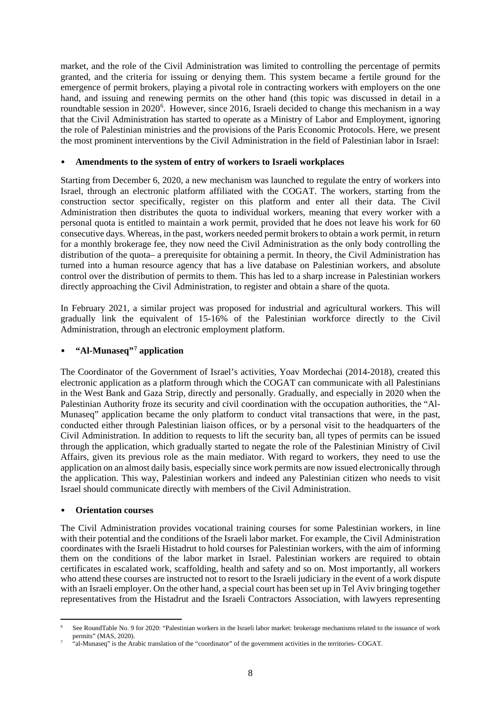market, and the role of the Civil Administration was limited to controlling the percentage of permits granted, and the criteria for issuing or denying them. This system became a fertile ground for the emergence of permit brokers, playing a pivotal role in contracting workers with employers on the one hand, and issuing and renewing permits on the other hand (this topic was discussed in detail in a roundtable session in 2020<sup>[6](#page-9-0)</sup>. However, since 2016, Israeli decided to change this mechanism in a way that the Civil Administration has started to operate as a Ministry of Labor and Employment, ignoring the role of Palestinian ministries and the provisions of the Paris Economic Protocols. Here, we present the most prominent interventions by the Civil Administration in the field of Palestinian labor in Israel:

#### • **Amendments to the system of entry of workers to Israeli workplaces**

Starting from December 6, 2020, a new mechanism was launched to regulate the entry of workers into Israel, through an electronic platform affiliated with the COGAT. The workers, starting from the construction sector specifically, register on this platform and enter all their data. The Civil Administration then distributes the quota to individual workers, meaning that every worker with a personal quota is entitled to maintain a work permit, provided that he does not leave his work for 60 consecutive days. Whereas, in the past, workers needed permit brokers to obtain a work permit, in return for a monthly brokerage fee, they now need the Civil Administration as the only body controlling the distribution of the quota– a prerequisite for obtaining a permit. In theory, the Civil Administration has turned into a human resource agency that has a live database on Palestinian workers, and absolute control over the distribution of permits to them. This has led to a sharp increase in Palestinian workers directly approaching the Civil Administration, to register and obtain a share of the quota.

In February 2021, a similar project was proposed for industrial and agricultural workers. This will gradually link the equivalent of 15-16% of the Palestinian workforce directly to the Civil Administration, through an electronic employment platform.

## • **"Al-Munaseq"[7](#page-9-1) application**

The Coordinator of the Government of Israel's activities, Yoav Mordechai (2014-2018), created this electronic application as a platform through which the COGAT can communicate with all Palestinians in the West Bank and Gaza Strip, directly and personally. Gradually, and especially in 2020 when the Palestinian Authority froze its security and civil coordination with the occupation authorities, the "Al-Munaseq" application became the only platform to conduct vital transactions that were, in the past, conducted either through Palestinian liaison offices, or by a personal visit to the headquarters of the Civil Administration. In addition to requests to lift the security ban, all types of permits can be issued through the application, which gradually started to negate the role of the Palestinian Ministry of Civil Affairs, given its previous role as the main mediator. With regard to workers, they need to use the application on an almost daily basis, especially since work permits are now issued electronically through the application. This way, Palestinian workers and indeed any Palestinian citizen who needs to visit Israel should communicate directly with members of the Civil Administration.

#### • **Orientation courses**

The Civil Administration provides vocational training courses for some Palestinian workers, in line with their potential and the conditions of the Israeli labor market. For example, the Civil Administration coordinates with the Israeli Histadrut to hold courses for Palestinian workers, with the aim of informing them on the conditions of the labor market in Israel. Palestinian workers are required to obtain certificates in escalated work, scaffolding, health and safety and so on. Most importantly, all workers who attend these courses are instructed not to resort to the Israeli judiciary in the event of a work dispute with an Israeli employer. On the other hand, a special court has been set up in Tel Aviv bringing together representatives from the Histadrut and the Israeli Contractors Association, with lawyers representing

<span id="page-9-0"></span><sup>6</sup> See RoundTable No. 9 for 2020: "Palestinian workers in the Israeli labor market: brokerage mechanisms related to the issuance of work permits" (MAS, 2020).

<span id="page-9-1"></span><sup>7</sup> "al-Munaseq" is the Arabic translation of the "coordinator" of the government activities in the territories- COGAT.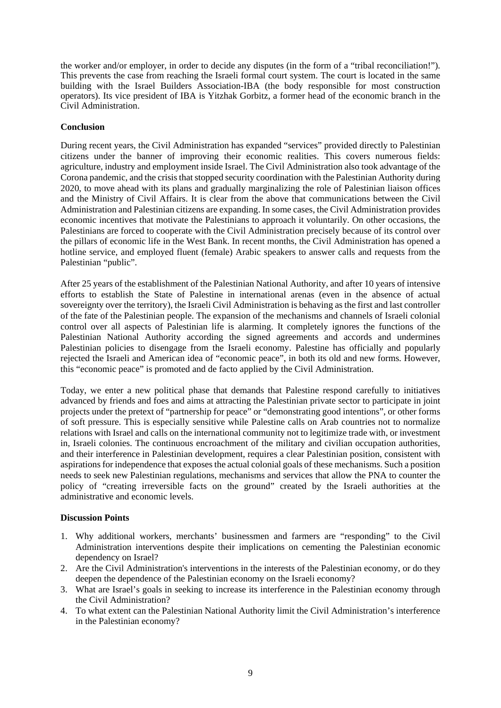the worker and/or employer, in order to decide any disputes (in the form of a "tribal reconciliation!"). This prevents the case from reaching the Israeli formal court system. The court is located in the same building with the Israel Builders Association-IBA (the body responsible for most construction operators). Its vice president of IBA is Yitzhak Gorbitz, a former head of the economic branch in the Civil Administration.

## **Conclusion**

During recent years, the Civil Administration has expanded "services" provided directly to Palestinian citizens under the banner of improving their economic realities. This covers numerous fields: agriculture, industry and employment inside Israel. The Civil Administration also took advantage of the Corona pandemic, and the crisis that stopped security coordination with the Palestinian Authority during 2020, to move ahead with its plans and gradually marginalizing the role of Palestinian liaison offices and the Ministry of Civil Affairs. It is clear from the above that communications between the Civil Administration and Palestinian citizens are expanding. In some cases, the Civil Administration provides economic incentives that motivate the Palestinians to approach it voluntarily. On other occasions, the Palestinians are forced to cooperate with the Civil Administration precisely because of its control over the pillars of economic life in the West Bank. In recent months, the Civil Administration has opened a hotline service, and employed fluent (female) Arabic speakers to answer calls and requests from the Palestinian "public".

After 25 years of the establishment of the Palestinian National Authority, and after 10 years of intensive efforts to establish the State of Palestine in international arenas (even in the absence of actual sovereignty over the territory), the Israeli Civil Administration is behaving as the first and last controller of the fate of the Palestinian people. The expansion of the mechanisms and channels of Israeli colonial control over all aspects of Palestinian life is alarming. It completely ignores the functions of the Palestinian National Authority according the signed agreements and accords and undermines Palestinian policies to disengage from the Israeli economy. Palestine has officially and popularly rejected the Israeli and American idea of "economic peace", in both its old and new forms. However, this "economic peace" is promoted and de facto applied by the Civil Administration.

Today, we enter a new political phase that demands that Palestine respond carefully to initiatives advanced by friends and foes and aims at attracting the Palestinian private sector to participate in joint projects under the pretext of "partnership for peace" or "demonstrating good intentions", or other forms of soft pressure. This is especially sensitive while Palestine calls on Arab countries not to normalize relations with Israel and calls on the international community not to legitimize trade with, or investment in, Israeli colonies. The continuous encroachment of the military and civilian occupation authorities, and their interference in Palestinian development, requires a clear Palestinian position, consistent with aspirations for independence that exposes the actual colonial goals of these mechanisms. Such a position needs to seek new Palestinian regulations, mechanisms and services that allow the PNA to counter the policy of "creating irreversible facts on the ground" created by the Israeli authorities at the administrative and economic levels.

## **Discussion Points**

- 1. Why additional workers, merchants' businessmen and farmers are "responding" to the Civil Administration interventions despite their implications on cementing the Palestinian economic dependency on Israel?
- 2. Are the Civil Administration's interventions in the interests of the Palestinian economy, or do they deepen the dependence of the Palestinian economy on the Israeli economy?
- 3. What are Israel's goals in seeking to increase its interference in the Palestinian economy through the Civil Administration?
- 4. To what extent can the Palestinian National Authority limit the Civil Administration's interference in the Palestinian economy?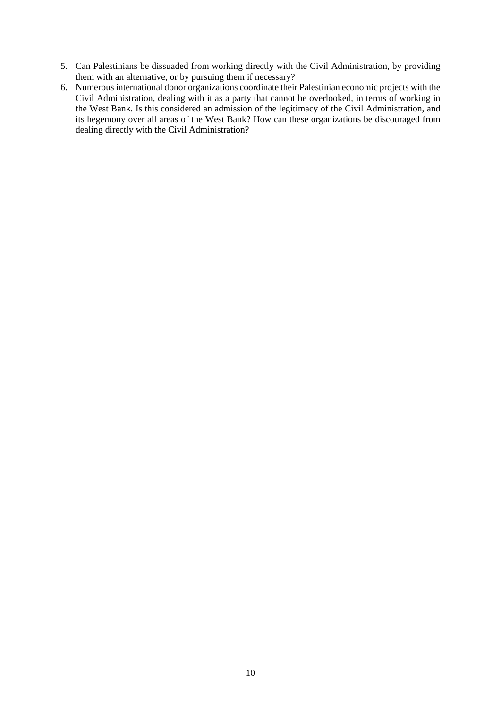- 5. Can Palestinians be dissuaded from working directly with the Civil Administration, by providing them with an alternative, or by pursuing them if necessary?
- 6. Numerous international donor organizations coordinate their Palestinian economic projects with the Civil Administration, dealing with it as a party that cannot be overlooked, in terms of working in the West Bank. Is this considered an admission of the legitimacy of the Civil Administration, and its hegemony over all areas of the West Bank? How can these organizations be discouraged from dealing directly with the Civil Administration?